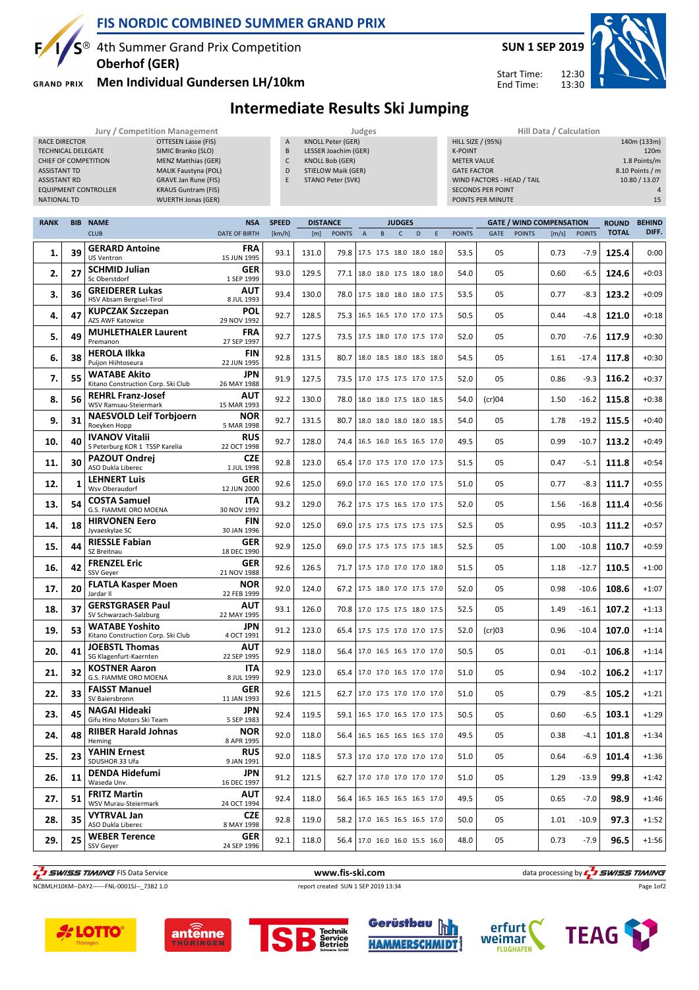

### **FIS NORDIC COMBINED SUMMER GRAND PRIX**

 $S^{\circledast}$  4th Summer Grand Prix Competition **Oberhof (GER)**

**GRAND PRIX** 

### **Men Individual Gundersen LH/10km**



Start Time: End Time:

## **Intermediate Results Ski Jumping**

|                           |            |                                     | Jury / Competition Management |                |                 |                          | Judges |    |               |                          |                    |                            |               | Hill Data / Calculation         |               |              |                  |
|---------------------------|------------|-------------------------------------|-------------------------------|----------------|-----------------|--------------------------|--------|----|---------------|--------------------------|--------------------|----------------------------|---------------|---------------------------------|---------------|--------------|------------------|
| <b>RACE DIRECTOR</b>      |            |                                     | OTTESEN Lasse (FIS)           | $\overline{A}$ |                 | <b>KNOLL Peter (GER)</b> |        |    |               |                          |                    | <b>HILL SIZE / (95%)</b>   |               |                                 |               |              | 140m (133m)      |
| <b>TECHNICAL DELEGATE</b> |            |                                     | SIMIC Branko (SLO)            | B              |                 | LESSER Joachim (GER)     |        |    |               |                          | <b>K-POINT</b>     |                            |               |                                 |               |              | 120 <sub>m</sub> |
|                           |            | CHIEF OF COMPETITION                | <b>MENZ Matthias (GER)</b>    | C              |                 | <b>KNOLL Bob (GER)</b>   |        |    |               |                          | <b>METER VALUE</b> |                            |               |                                 |               |              | 1.8 Points/m     |
| <b>ASSISTANT TD</b>       |            |                                     | MALIK Faustyna (POL)          | D              |                 | STIELOW Maik (GER)       |        |    |               |                          | <b>GATE FACTOR</b> |                            |               |                                 |               |              | 8.10 Points / m  |
| <b>ASSISTANT RD</b>       |            |                                     | <b>GRAVE Jan Rune (FIS)</b>   | E.             |                 | STANO Peter (SVK)        |        |    |               |                          |                    | WIND FACTORS - HEAD / TAIL |               |                                 |               |              | 10.80 / 13.07    |
|                           |            | <b>EQUIPMENT CONTROLLER</b>         | <b>KRAUS Guntram (FIS)</b>    |                |                 |                          |        |    |               |                          |                    | <b>SECONDS PER POINT</b>   |               |                                 |               |              |                  |
| NATIONAL TD               |            |                                     | <b>WUERTH Jonas (GER)</b>     |                |                 |                          |        |    |               |                          |                    | POINTS PER MINUTE          |               |                                 |               |              | 15               |
|                           |            |                                     |                               |                |                 |                          |        |    |               |                          |                    |                            |               |                                 |               |              |                  |
| <b>RANK</b>               | <b>BIB</b> | <b>NAME</b>                         | <b>NSA</b>                    | <b>SPEED</b>   | <b>DISTANCE</b> |                          |        |    | <b>JUDGES</b> |                          |                    |                            |               | <b>GATE / WIND COMPENSATION</b> |               | <b>ROUND</b> | <b>BEHIND</b>    |
|                           |            | <b>CLUB</b>                         | <b>DATE OF BIRTH</b>          | [km/h]         | [m]             | <b>POINTS</b>            | A      | B. | C             | D                        | <b>POINTS</b>      | <b>GATE</b>                | <b>POINTS</b> | [m/s]                           | <b>POINTS</b> | <b>TOTAL</b> | DIFF.            |
| 1.                        | 39         | <b>GERARD Antoine</b><br>US Ventron | <b>FRA</b><br>15 JUN 1995     | 93.1           | 131.0           | 79.8 l                   |        |    |               | 17.5 17.5 18.0 18.0 18.0 | 53.5               | 05                         |               | 0.73                            | $-7.9$        | 125.4        | 0:00             |

|     | ر ر | <b>US Ventron</b>                                           | 15 JUN 1995               | <b>JJ.I</b> | 131.U | 75.0 | 17.9 17.9 18.0 18.0 18.0        | ر.رر | U.J.J          | <b>U.IJ</b> |         | ---   | v.vv    |
|-----|-----|-------------------------------------------------------------|---------------------------|-------------|-------|------|---------------------------------|------|----------------|-------------|---------|-------|---------|
| 2.  | 27  | <b>SCHMID Julian</b><br>Sc Oberstdorf                       | <b>GER</b><br>1 SEP 1999  | 93.0        | 129.5 | 77.1 | 18.0 18.0 17.5 18.0 18.0        | 54.0 | 05             | 0.60        | $-6.5$  | 124.6 | $+0:03$ |
| 3.  | 36  | <b>GREIDERER Lukas</b><br>HSV Absam Bergisel-Tirol          | <b>AUT</b><br>8 JUL 1993  | 93.4        | 130.0 |      | 78.0 17.5 18.0 18.0 18.0 17.5   | 53.5 | 05             | 0.77        | $-8.3$  | 123.2 | $+0:09$ |
| 4.  | 47  | <b>KUPCZAK Szczepan</b><br>AZS AWF Katowice                 | <b>POL</b><br>29 NOV 1992 | 92.7        | 128.5 | 75.3 | 16.5 16.5 17.0 17.0 17.5        | 50.5 | 05             | 0.44        | $-4.8$  | 121.0 | $+0:18$ |
| 5.  | 49  | <b>MUHLETHALER Laurent</b><br>Premanon                      | <b>FRA</b><br>27 SEP 1997 | 92.7        | 127.5 |      | 73.5 17.5 18.0 17.0 17.5 17.0   | 52.0 | 05             | 0.70        | $-7.6$  | 117.9 | $+0:30$ |
| 6.  | 38  | <b>HEROLA Ilkka</b><br>Puijon Hiihtoseura                   | <b>FIN</b><br>22 JUN 1995 | 92.8        | 131.5 | 80.7 | 18.0 18.5 18.0 18.5 18.0        | 54.5 | 05             | 1.61        | $-17.4$ | 117.8 | $+0:30$ |
| 7.  | 55  | <b>WATABE Akito</b><br>Kitano Construction Corp. Ski Club   | <b>JPN</b><br>26 MAY 1988 | 91.9        | 127.5 | 73.5 | 17.0 17.5 17.5 17.0 17.5        | 52.0 | 05             | 0.86        | $-9.3$  | 116.2 | $+0:37$ |
| 8.  | 56  | <b>REHRL Franz-Josef</b><br>WSV Ramsau-Steiermark           | <b>AUT</b><br>15 MAR 1993 | 92.2        | 130.0 |      | 78.0 18.0 18.0 17.5 18.0 18.5   | 54.0 | (cr)04         | 1.50        | $-16.2$ | 115.8 | $+0:38$ |
| 9.  | 31  | <b>NAESVOLD Leif Torbjoern</b><br>Roeyken Hopp              | <b>NOR</b><br>5 MAR 1998  | 92.7        | 131.5 | 80.7 | 18.0 18.0 18.0 18.0 18.5        | 54.0 | 05             | 1.78        | $-19.2$ | 115.5 | $+0:40$ |
| 10. | 40  | <b>IVANOV Vitalii</b><br>S Peterburg KOR 1 TSSP Karelia     | <b>RUS</b><br>22 OCT 1998 | 92.7        | 128.0 | 74.4 | 16.5 16.0 16.5 16.5 17.0        | 49.5 | 05             | 0.99        | $-10.7$ | 113.2 | $+0:49$ |
| 11. | 30  | <b>PAZOUT Ondrei</b><br>ASO Dukla Liberec                   | <b>CZE</b><br>1 JUL 1998  | 92.8        | 123.0 | 65.4 | 17.0 17.5 17.0 17.0 17.5        | 51.5 | 0 <sub>5</sub> | 0.47        | $-5.1$  | 111.8 | $+0:54$ |
| 12. | 1   | <b>LEHNERT Luis</b><br>Wsv Oberaudorf                       | <b>GER</b><br>12 JUN 2000 | 92.6        | 125.0 |      | 69.0 17.0 16.5 17.0 17.0 17.5   | 51.0 | 0 <sub>5</sub> | 0.77        | $-8.3$  | 111.7 | $+0:55$ |
| 13. | 54  | <b>COSTA Samuel</b><br>G.S. FIAMME ORO MOENA                | <b>ITA</b><br>30 NOV 1992 | 93.2        | 129.0 |      | 76.2 17.5 17.5 16.5 17.0 17.5   | 52.0 | 05             | 1.56        | $-16.8$ | 111.4 | $+0:56$ |
| 14. | 18  | <b>HIRVONEN Eero</b><br>Jyvaeskylae SC                      | <b>FIN</b><br>30 JAN 1996 | 92.0        | 125.0 |      | 69.0 17.5 17.5 17.5 17.5 17.5   | 52.5 | 0 <sub>5</sub> | 0.95        | $-10.3$ | 111.2 | $+0:57$ |
| 15. | 44  | <b>RIESSLE Fabian</b><br>SZ Breitnau                        | <b>GER</b><br>18 DEC 1990 | 92.9        | 125.0 |      | 69.0 17.5 17.5 17.5 17.5 18.5   | 52.5 | 05             | 1.00        | $-10.8$ | 110.7 | $+0:59$ |
| 16. | 42  | <b>FRENZEL Eric</b><br>SSV Geyer                            | <b>GER</b><br>21 NOV 1988 | 92.6        | 126.5 |      | 71.7   17.5 17.0 17.0 17.0 18.0 | 51.5 | 05             | 1.18        | $-12.7$ | 110.5 | $+1:00$ |
| 17. | 20  | <b>FLATLA Kasper Moen</b><br>Jardar II                      | <b>NOR</b><br>22 FEB 1999 | 92.0        | 124.0 |      | 67.2 17.5 18.0 17.0 17.5 17.0   | 52.0 | 05             | 0.98        | $-10.6$ | 108.6 | $+1:07$ |
| 18. | 37  | <b>GERSTGRASER Paul</b><br>SV Schwarzach-Salzburg           | <b>AUT</b><br>22 MAY 1995 | 93.1        | 126.0 |      | 70.8 17.0 17.5 17.5 18.0 17.5   | 52.5 | 05             | 1.49        | $-16.1$ | 107.2 | $+1:13$ |
| 19. | 53  | <b>WATABE Yoshito</b><br>Kitano Construction Corp. Ski Club | <b>JPN</b><br>4 OCT 1991  | 91.2        | 123.0 |      | 65.4 17.5 17.5 17.0 17.0 17.5   | 52.0 | $(cr)$ 03      | 0.96        | $-10.4$ | 107.0 | $+1:14$ |
| 20. | 41  | <b>JOEBSTL Thomas</b><br>SG Klagenfurt-Kaernten             | <b>AUT</b><br>22 SEP 1995 | 92.9        | 118.0 |      | 56.4 17.0 16.5 16.5 17.0 17.0   | 50.5 | 05             | 0.01        | $-0.1$  | 106.8 | $+1:14$ |
| 21. | 32  | <b>KOSTNER Aaron</b><br>G.S. FIAMME ORO MOENA               | <b>ITA</b><br>8 JUL 1999  | 92.9        | 123.0 | 65.4 | 17.0 17.0 16.5 17.0 17.0        | 51.0 | 05             | 0.94        | $-10.2$ | 106.2 | $+1:17$ |
| 22. | 33  | <b>FAISST Manuel</b><br>SV Baiersbronn                      | <b>GER</b><br>11 JAN 1993 | 92.6        | 121.5 | 62.7 | 17.0 17.5 17.0 17.0 17.0        | 51.0 | 05             | 0.79        | $-8.5$  | 105.2 | $+1:21$ |
| 23. | 45  | <b>NAGAI Hideaki</b><br>Gifu Hino Motors Ski Team           | <b>JPN</b><br>5 SEP 1983  | 92.4        | 119.5 |      | 59.1 16.5 17.0 16.5 17.0 17.5   | 50.5 | 05             | 0.60        | $-6.5$  | 103.1 | $+1:29$ |
| 24. | 48  | <b>RIIBER Harald Johnas</b><br>Heming                       | <b>NOR</b><br>8 APR 1995  | 92.0        | 118.0 | 56.4 | 16.5 16.5 16.5 16.5 17.0        | 49.5 | 05             | 0.38        | $-4.1$  | 101.8 | $+1:34$ |
| 25. | 23  | YAHIN Ernest<br>SDUSHOR 33 Ufa                              | <b>RUS</b><br>9 JAN 1991  | 92.0        | 118.5 |      | 57.3 17.0 17.0 17.0 17.0 17.0   | 51.0 | 05             | 0.64        | $-6.9$  | 101.4 | $+1:36$ |
| 26. | 11  | <b>DENDA Hidefumi</b><br>Waseda Unv.                        | <b>JPN</b><br>16 DEC 1997 | 91.2        | 121.5 | 62.7 | 17.0 17.0 17.0 17.0 17.0        | 51.0 | 05             | 1.29        | $-13.9$ | 99.8  | $+1:42$ |
| 27. | 51  | <b>FRITZ Martin</b><br>WSV Murau-Steiermark                 | <b>AUT</b><br>24 OCT 1994 | 92.4        | 118.0 | 56.4 | 16.5 16.5 16.5 16.5 17.0        | 49.5 | 05             | 0.65        | $-7.0$  | 98.9  | $+1:46$ |
| 28. | 35  | VYTRVAL Jan<br>ASO Dukla Liberec                            | <b>CZE</b><br>8 MAY 1998  | 92.8        | 119.0 |      | 58.2 17.0 16.5 16.5 16.5 17.0   | 50.0 | 05             | 1.01        | $-10.9$ | 97.3  | $+1:52$ |
| 29. | 25  | <b>WEBER Terence</b><br><b>SSV Gever</b>                    | <b>GER</b><br>24 SEP 1996 | 92.1        | 118.0 |      | 56.4   17.0 16.0 16.0 15.5 16.0 | 48.0 | 05             | 0.73        | $-7.9$  | 96.5  | $+1:56$ |
|     |     |                                                             |                           |             |       |      |                                 |      |                |             |         |       |         |

THE SUNSES TIMING FIS Data Service **WALL ASSESS TO A SERVICE SCIENCE ASSESS** TO A SUPERFORMATION OF THE SUPERFORMANCE OF THE SUPERFORMANCE OF THE SUPERFORMANCE OF THE SUPERFORMANCE OF THE SUPERFORMANCE OF THE SUPERFORMANCE

NCBMLH10KM--DAY2------FNL-0001SJ--\_73B2 1.0 report created SUN 1 SEP 2019 13:34

Page 1of2



*E* **LOTTO** 



**antenne**